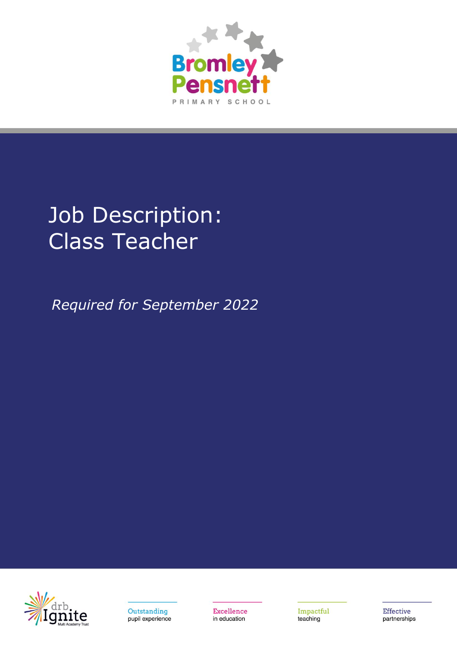

# Job Description: Class Teacher

*Required for September 2022*





Excellence in education

Impactful teaching

Effective partnerships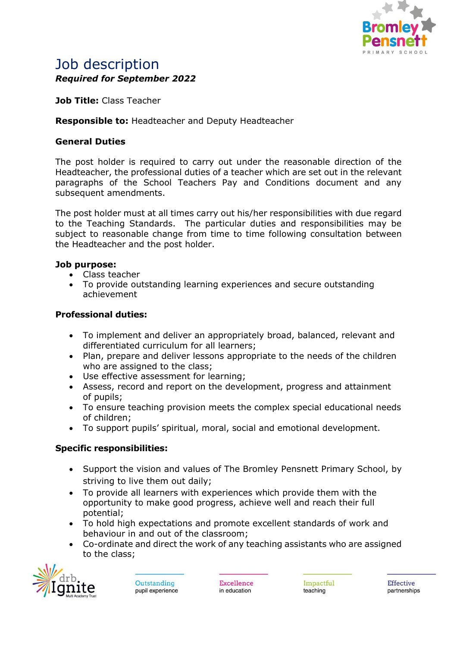

# Job description *Required for September 2022*

**Job Title:** Class Teacher

# **Responsible to:** Headteacher and Deputy Headteacher

# **General Duties**

The post holder is required to carry out under the reasonable direction of the Headteacher, the professional duties of a teacher which are set out in the relevant paragraphs of the School Teachers Pay and Conditions document and any subsequent amendments.

The post holder must at all times carry out his/her responsibilities with due regard to the Teaching Standards. The particular duties and responsibilities may be subject to reasonable change from time to time following consultation between the Headteacher and the post holder.

### **Job purpose:**

- Class teacher
- To provide outstanding learning experiences and secure outstanding achievement

### **Professional duties:**

- To implement and deliver an appropriately broad, balanced, relevant and differentiated curriculum for all learners;
- Plan, prepare and deliver lessons appropriate to the needs of the children who are assigned to the class:
- Use effective assessment for learning;
- Assess, record and report on the development, progress and attainment of pupils;
- To ensure teaching provision meets the complex special educational needs of children;
- To support pupils' spiritual, moral, social and emotional development.

### **Specific responsibilities:**

- Support the vision and values of The Bromley Pensnett Primary School, by striving to live them out daily;
- To provide all learners with experiences which provide them with the opportunity to make good progress, achieve well and reach their full potential;
- To hold high expectations and promote excellent standards of work and behaviour in and out of the classroom;
- Co-ordinate and direct the work of any teaching assistants who are assigned to the class;



Outstanding pupil experience Excellence in education

Impactful teaching

**Effective** partnerships